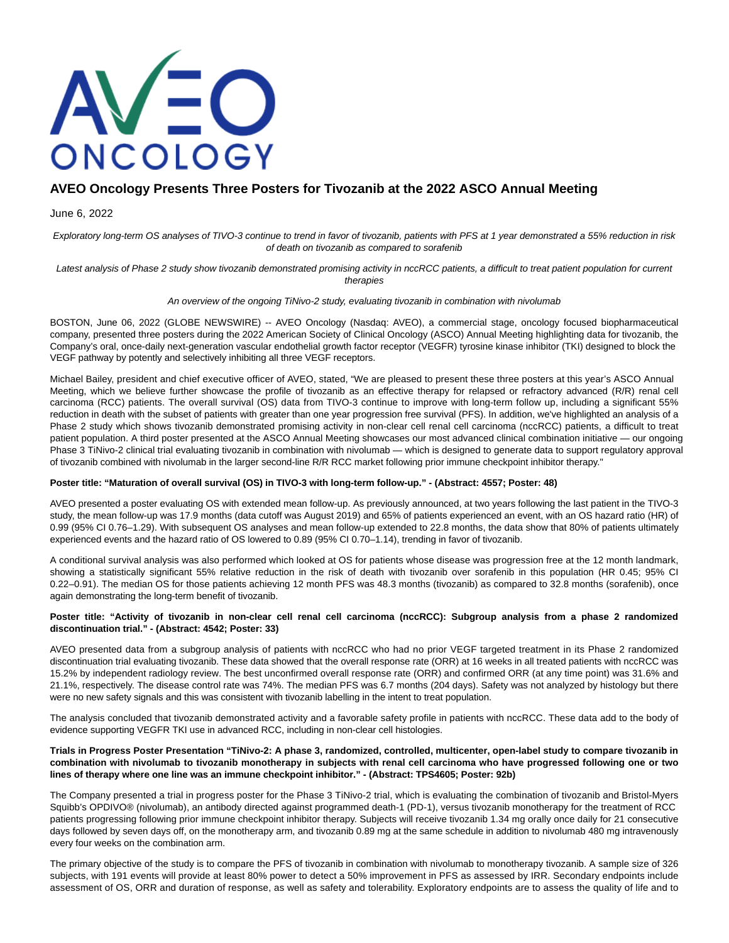

# **AVEO Oncology Presents Three Posters for Tivozanib at the 2022 ASCO Annual Meeting**

June 6, 2022

Exploratory long-term OS analyses of TIVO-3 continue to trend in favor of tivozanib, patients with PFS at 1 year demonstrated a 55% reduction in risk of death on tivozanib as compared to sorafenib

#### Latest analysis of Phase 2 study show tivozanib demonstrated promising activity in nccRCC patients, a difficult to treat patient population for current therapies

An overview of the ongoing TiNivo-2 study, evaluating tivozanib in combination with nivolumab

BOSTON, June 06, 2022 (GLOBE NEWSWIRE) -- AVEO Oncology (Nasdaq: AVEO), a commercial stage, oncology focused biopharmaceutical company, presented three posters during the 2022 American Society of Clinical Oncology (ASCO) Annual Meeting highlighting data for tivozanib, the Company's oral, once-daily next-generation vascular endothelial growth factor receptor (VEGFR) tyrosine kinase inhibitor (TKI) designed to block the VEGF pathway by potently and selectively inhibiting all three VEGF receptors.

Michael Bailey, president and chief executive officer of AVEO, stated, "We are pleased to present these three posters at this year's ASCO Annual Meeting, which we believe further showcase the profile of tivozanib as an effective therapy for relapsed or refractory advanced (R/R) renal cell carcinoma (RCC) patients. The overall survival (OS) data from TIVO-3 continue to improve with long-term follow up, including a significant 55% reduction in death with the subset of patients with greater than one year progression free survival (PFS). In addition, we've highlighted an analysis of a Phase 2 study which shows tivozanib demonstrated promising activity in non-clear cell renal cell carcinoma (nccRCC) patients, a difficult to treat patient population. A third poster presented at the ASCO Annual Meeting showcases our most advanced clinical combination initiative — our ongoing Phase 3 TiNivo-2 clinical trial evaluating tivozanib in combination with nivolumab — which is designed to generate data to support regulatory approval of tivozanib combined with nivolumab in the larger second-line R/R RCC market following prior immune checkpoint inhibitor therapy."

#### **Poster title: "Maturation of overall survival (OS) in TIVO-3 with long-term follow-up." - (Abstract: 4557; Poster: 48)**

AVEO presented a poster evaluating OS with extended mean follow-up. As previously announced, at two years following the last patient in the TIVO-3 study, the mean follow-up was 17.9 months (data cutoff was August 2019) and 65% of patients experienced an event, with an OS hazard ratio (HR) of 0.99 (95% CI 0.76–1.29). With subsequent OS analyses and mean follow-up extended to 22.8 months, the data show that 80% of patients ultimately experienced events and the hazard ratio of OS lowered to 0.89 (95% CI 0.70–1.14), trending in favor of tivozanib.

A conditional survival analysis was also performed which looked at OS for patients whose disease was progression free at the 12 month landmark, showing a statistically significant 55% relative reduction in the risk of death with tivozanib over sorafenib in this population (HR 0.45; 95% CI 0.22–0.91). The median OS for those patients achieving 12 month PFS was 48.3 months (tivozanib) as compared to 32.8 months (sorafenib), once again demonstrating the long-term benefit of tivozanib.

#### **Poster title: "Activity of tivozanib in non-clear cell renal cell carcinoma (nccRCC): Subgroup analysis from a phase 2 randomized discontinuation trial." - (Abstract: 4542; Poster: 33)**

AVEO presented data from a subgroup analysis of patients with nccRCC who had no prior VEGF targeted treatment in its Phase 2 randomized discontinuation trial evaluating tivozanib. These data showed that the overall response rate (ORR) at 16 weeks in all treated patients with nccRCC was 15.2% by independent radiology review. The best unconfirmed overall response rate (ORR) and confirmed ORR (at any time point) was 31.6% and 21.1%, respectively. The disease control rate was 74%. The median PFS was 6.7 months (204 days). Safety was not analyzed by histology but there were no new safety signals and this was consistent with tivozanib labelling in the intent to treat population.

The analysis concluded that tivozanib demonstrated activity and a favorable safety profile in patients with nccRCC. These data add to the body of evidence supporting VEGFR TKI use in advanced RCC, including in non-clear cell histologies.

#### **Trials in Progress Poster Presentation "TiNivo-2: A phase 3, randomized, controlled, multicenter, open-label study to compare tivozanib in combination with nivolumab to tivozanib monotherapy in subjects with renal cell carcinoma who have progressed following one or two lines of therapy where one line was an immune checkpoint inhibitor." - (Abstract: TPS4605; Poster: 92b)**

The Company presented a trial in progress poster for the Phase 3 TiNivo-2 trial, which is evaluating the combination of tivozanib and Bristol-Myers Squibb's OPDIVO® (nivolumab), an antibody directed against programmed death-1 (PD-1), versus tivozanib monotherapy for the treatment of RCC patients progressing following prior immune checkpoint inhibitor therapy. Subjects will receive tivozanib 1.34 mg orally once daily for 21 consecutive days followed by seven days off, on the monotherapy arm, and tivozanib 0.89 mg at the same schedule in addition to nivolumab 480 mg intravenously every four weeks on the combination arm.

The primary objective of the study is to compare the PFS of tivozanib in combination with nivolumab to monotherapy tivozanib. A sample size of 326 subjects, with 191 events will provide at least 80% power to detect a 50% improvement in PFS as assessed by IRR. Secondary endpoints include assessment of OS, ORR and duration of response, as well as safety and tolerability. Exploratory endpoints are to assess the quality of life and to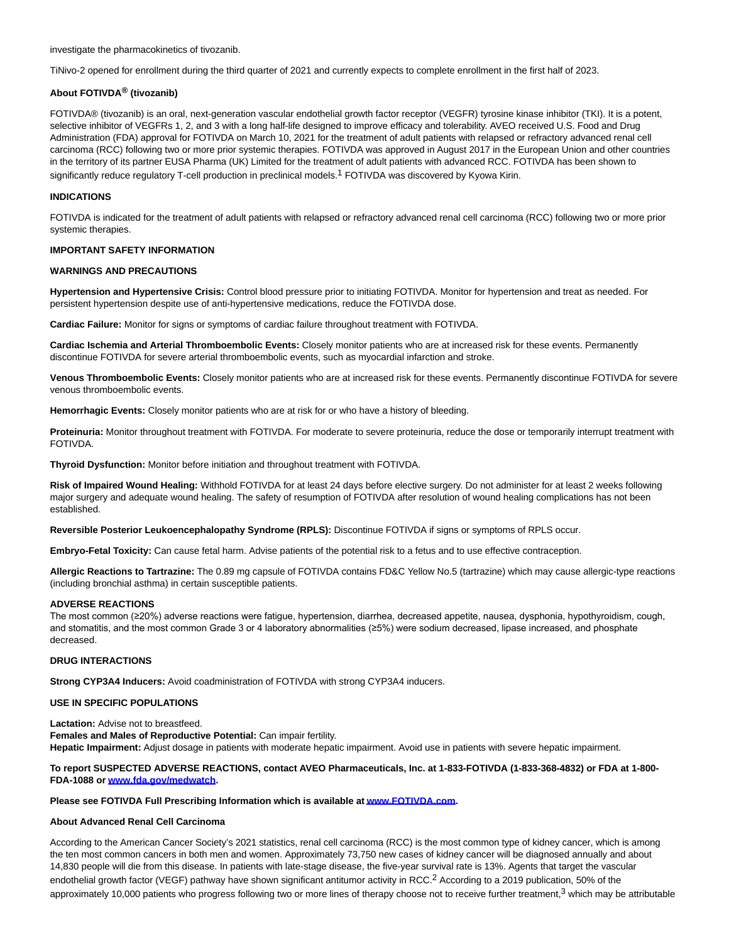investigate the pharmacokinetics of tivozanib.

TiNivo-2 opened for enrollment during the third quarter of 2021 and currently expects to complete enrollment in the first half of 2023.

#### **About FOTIVDA® (tivozanib)**

FOTIVDA® (tivozanib) is an oral, next-generation vascular endothelial growth factor receptor (VEGFR) tyrosine kinase inhibitor (TKI). It is a potent, selective inhibitor of VEGFRs 1, 2, and 3 with a long half-life designed to improve efficacy and tolerability. AVEO received U.S. Food and Drug Administration (FDA) approval for FOTIVDA on March 10, 2021 for the treatment of adult patients with relapsed or refractory advanced renal cell carcinoma (RCC) following two or more prior systemic therapies. FOTIVDA was approved in August 2017 in the European Union and other countries in the territory of its partner EUSA Pharma (UK) Limited for the treatment of adult patients with advanced RCC. FOTIVDA has been shown to significantly reduce regulatory T-cell production in preclinical models.<sup>1</sup> FOTIVDA was discovered by Kyowa Kirin.

### **INDICATIONS**

FOTIVDA is indicated for the treatment of adult patients with relapsed or refractory advanced renal cell carcinoma (RCC) following two or more prior systemic therapies.

### **IMPORTANT SAFETY INFORMATION**

#### **WARNINGS AND PRECAUTIONS**

**Hypertension and Hypertensive Crisis:** Control blood pressure prior to initiating FOTIVDA. Monitor for hypertension and treat as needed. For persistent hypertension despite use of anti-hypertensive medications, reduce the FOTIVDA dose.

**Cardiac Failure:** Monitor for signs or symptoms of cardiac failure throughout treatment with FOTIVDA.

**Cardiac Ischemia and Arterial Thromboembolic Events:** Closely monitor patients who are at increased risk for these events. Permanently discontinue FOTIVDA for severe arterial thromboembolic events, such as myocardial infarction and stroke.

**Venous Thromboembolic Events:** Closely monitor patients who are at increased risk for these events. Permanently discontinue FOTIVDA for severe venous thromboembolic events.

**Hemorrhagic Events:** Closely monitor patients who are at risk for or who have a history of bleeding.

**Proteinuria:** Monitor throughout treatment with FOTIVDA. For moderate to severe proteinuria, reduce the dose or temporarily interrupt treatment with FOTIVDA.

**Thyroid Dysfunction:** Monitor before initiation and throughout treatment with FOTIVDA.

**Risk of Impaired Wound Healing:** Withhold FOTIVDA for at least 24 days before elective surgery. Do not administer for at least 2 weeks following major surgery and adequate wound healing. The safety of resumption of FOTIVDA after resolution of wound healing complications has not been established.

**Reversible Posterior Leukoencephalopathy Syndrome (RPLS):** Discontinue FOTIVDA if signs or symptoms of RPLS occur.

**Embryo-Fetal Toxicity:** Can cause fetal harm. Advise patients of the potential risk to a fetus and to use effective contraception.

**Allergic Reactions to Tartrazine:** The 0.89 mg capsule of FOTIVDA contains FD&C Yellow No.5 (tartrazine) which may cause allergic-type reactions (including bronchial asthma) in certain susceptible patients.

#### **ADVERSE REACTIONS**

The most common (≥20%) adverse reactions were fatigue, hypertension, diarrhea, decreased appetite, nausea, dysphonia, hypothyroidism, cough, and stomatitis, and the most common Grade 3 or 4 laboratory abnormalities (≥5%) were sodium decreased, lipase increased, and phosphate decreased.

#### **DRUG INTERACTIONS**

**Strong CYP3A4 Inducers:** Avoid coadministration of FOTIVDA with strong CYP3A4 inducers.

### **USE IN SPECIFIC POPULATIONS**

**Lactation:** Advise not to breastfeed. **Females and Males of Reproductive Potential:** Can impair fertility. **Hepatic Impairment:** Adjust dosage in patients with moderate hepatic impairment. Avoid use in patients with severe hepatic impairment.

## **To report SUSPECTED ADVERSE REACTIONS, contact AVEO Pharmaceuticals, Inc. at 1-833-FOTIVDA (1-833-368-4832) or FDA at 1-800- FDA-1088 or [www.fda.gov/medwatch.](http://www.fda.gov/medwatch)**

# **Please see FOTIVDA Full Prescribing Information which is available a[t www.FOTIVDA.com.](http://www.fotivda.com/)**

# **About Advanced Renal Cell Carcinoma**

According to the American Cancer Society's 2021 statistics, renal cell carcinoma (RCC) is the most common type of kidney cancer, which is among the ten most common cancers in both men and women. Approximately 73,750 new cases of kidney cancer will be diagnosed annually and about 14,830 people will die from this disease. In patients with late-stage disease, the five-year survival rate is 13%. Agents that target the vascular endothelial growth factor (VEGF) pathway have shown significant antitumor activity in RCC.<sup>2</sup> According to a 2019 publication, 50% of the approximately 10,000 patients who progress following two or more lines of therapy choose not to receive further treatment,<sup>3</sup> which may be attributable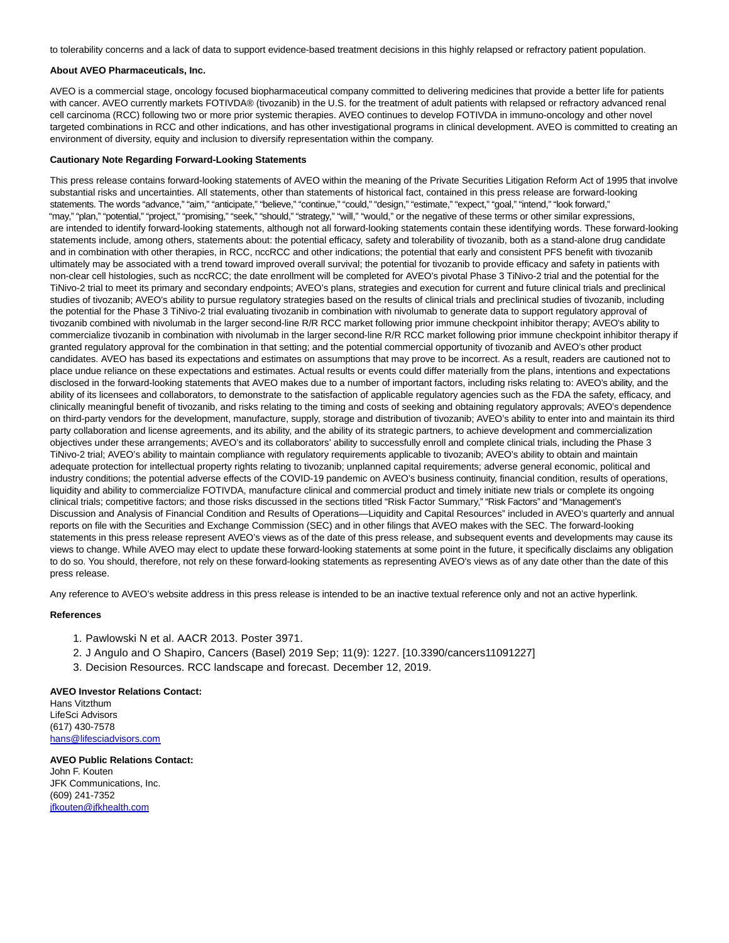to tolerability concerns and a lack of data to support evidence-based treatment decisions in this highly relapsed or refractory patient population.

#### **About AVEO Pharmaceuticals, Inc.**

AVEO is a commercial stage, oncology focused biopharmaceutical company committed to delivering medicines that provide a better life for patients with cancer. AVEO currently markets FOTIVDA® (tivozanib) in the U.S. for the treatment of adult patients with relapsed or refractory advanced renal cell carcinoma (RCC) following two or more prior systemic therapies. AVEO continues to develop FOTIVDA in immuno-oncology and other novel targeted combinations in RCC and other indications, and has other investigational programs in clinical development. AVEO is committed to creating an environment of diversity, equity and inclusion to diversify representation within the company.

#### **Cautionary Note Regarding Forward-Looking Statements**

This press release contains forward-looking statements of AVEO within the meaning of the Private Securities Litigation Reform Act of 1995 that involve substantial risks and uncertainties. All statements, other than statements of historical fact, contained in this press release are forward-looking statements. The words "advance," "aim," "anticipate," "believe," "continue," "could," "design," "estimate," "expect," "goal," "intend," "look forward," "may," "plan," "potential," "project," "promising," "seek," "should," "strategy," "will," "would," or the negative of these terms or other similar expressions, are intended to identify forward-looking statements, although not all forward-looking statements contain these identifying words. These forward-looking statements include, among others, statements about: the potential efficacy, safety and tolerability of tivozanib, both as a stand-alone drug candidate and in combination with other therapies, in RCC, nccRCC and other indications; the potential that early and consistent PFS benefit with tivozanib ultimately may be associated with a trend toward improved overall survival; the potential for tivozanib to provide efficacy and safety in patients with non-clear cell histologies, such as nccRCC; the date enrollment will be completed for AVEO's pivotal Phase 3 TiNivo-2 trial and the potential for the TiNivo-2 trial to meet its primary and secondary endpoints; AVEO's plans, strategies and execution for current and future clinical trials and preclinical studies of tivozanib; AVEO's ability to pursue regulatory strategies based on the results of clinical trials and preclinical studies of tivozanib, including the potential for the Phase 3 TiNivo-2 trial evaluating tivozanib in combination with nivolumab to generate data to support regulatory approval of tivozanib combined with nivolumab in the larger second-line R/R RCC market following prior immune checkpoint inhibitor therapy; AVEO's ability to commercialize tivozanib in combination with nivolumab in the larger second-line R/R RCC market following prior immune checkpoint inhibitor therapy if granted regulatory approval for the combination in that setting; and the potential commercial opportunity of tivozanib and AVEO's other product candidates. AVEO has based its expectations and estimates on assumptions that may prove to be incorrect. As a result, readers are cautioned not to place undue reliance on these expectations and estimates. Actual results or events could differ materially from the plans, intentions and expectations disclosed in the forward-looking statements that AVEO makes due to a number of important factors, including risks relating to: AVEO's ability, and the ability of its licensees and collaborators, to demonstrate to the satisfaction of applicable regulatory agencies such as the FDA the safety, efficacy, and clinically meaningful benefit of tivozanib, and risks relating to the timing and costs of seeking and obtaining regulatory approvals; AVEO's dependence on third-party vendors for the development, manufacture, supply, storage and distribution of tivozanib; AVEO's ability to enter into and maintain its third party collaboration and license agreements, and its ability, and the ability of its strategic partners, to achieve development and commercialization objectives under these arrangements; AVEO's and its collaborators' ability to successfully enroll and complete clinical trials, including the Phase 3 TiNivo-2 trial; AVEO's ability to maintain compliance with regulatory requirements applicable to tivozanib; AVEO's ability to obtain and maintain adequate protection for intellectual property rights relating to tivozanib; unplanned capital requirements; adverse general economic, political and industry conditions; the potential adverse effects of the COVID-19 pandemic on AVEO's business continuity, financial condition, results of operations, liquidity and ability to commercialize FOTIVDA, manufacture clinical and commercial product and timely initiate new trials or complete its ongoing clinical trials; competitive factors; and those risks discussed in the sections titled "Risk Factor Summary," "Risk Factors" and "Management's Discussion and Analysis of Financial Condition and Results of Operations—Liquidity and Capital Resources" included in AVEO's quarterly and annual reports on file with the Securities and Exchange Commission (SEC) and in other filings that AVEO makes with the SEC. The forward-looking statements in this press release represent AVEO's views as of the date of this press release, and subsequent events and developments may cause its views to change. While AVEO may elect to update these forward-looking statements at some point in the future, it specifically disclaims any obligation to do so. You should, therefore, not rely on these forward-looking statements as representing AVEO's views as of any date other than the date of this press release.

Any reference to AVEO's website address in this press release is intended to be an inactive textual reference only and not an active hyperlink.

#### **References**

- 1. Pawlowski N et al. AACR 2013. Poster 3971.
- 2. J Angulo and O Shapiro, Cancers (Basel) 2019 Sep; 11(9): 1227. [10.3390/cancers11091227]
- 3. Decision Resources. RCC landscape and forecast. December 12, 2019.

**AVEO Investor Relations Contact:** Hans Vitzthum LifeSci Advisors (617) 430-7578 [hans@lifesciadvisors.com](https://www.globenewswire.com/Tracker?data=FTUlplzo6xgprg8LzLnPrMU825yMlaqLerKx1sO6nnlqpeMCrhlAE_Nyz2DU5Wcz2gBqTZ015kdav20_QErfpzx7WZkzimoP4JE0OaLgpnc=)

**AVEO Public Relations Contact:** John F. Kouten JFK Communications, Inc. (609) 241-7352 ifkouten@ifkhealth.com